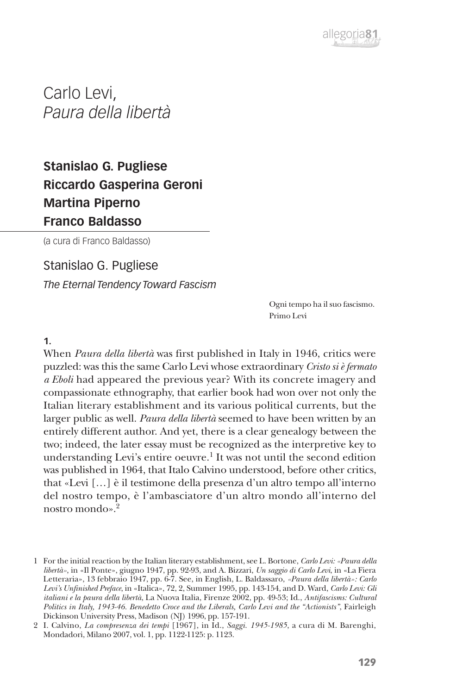

Carlo Levi, *Paura della libertà*

# **Stanislao G. Pugliese Riccardo Gasperina Geroni Martina Piperno Franco Baldasso**

(a cura di Franco Baldasso)

## Stanislao G. Pugliese

*The Eternal Tendency Toward Fascism*

Ogni tempo ha il suo fascismo. Primo Levi

**1.**

When *Paura della libertà* was first published in Italy in 1946, critics were puzzled: was this the same Carlo Levi whose extraordinary *Cristo si è fermato a Eboli* had appeared the previous year? With its concrete imagery and compassionate ethnography, that earlier book had won over not only the Italian literary establishment and its various political currents, but the larger public as well. *Paura della libertà* seemed to have been written by an entirely different author. And yet, there is a clear genealogy between the two; indeed, the later essay must be recognized as the interpretive key to understanding Levi's entire oeuvre.<sup>1</sup> It was not until the second edition was published in 1964, that Italo Calvino understood, before other critics, that «Levi […] è il testimone della presenza d'un altro tempo all'interno del nostro tempo, è l'ambasciatore d'un altro mondo all'interno del nostro mondo».2

<sup>1</sup> For the initial reaction by the Italian literary establishment, see L. Bortone, *Carlo Levi: «Paura della libertà»*, in «Il Ponte», giugno 1947, pp. 92-93, and A. Bizzari, *Un saggio di Carlo Levi*, in «La Fiera Letteraria», 13 febbraio 1947, pp. 6-7. See, in English, L. Baldassaro, *«Paura della libertà»: Carlo Levi's Unfinished Preface*, in «Italica», 72, 2, Summer 1995, pp. 143-154, and D. Ward, *Carlo Levi: Gli italiani e la paura della libertà*, La Nuova Italia, Firenze 2002, pp. 49-53; Id., *Antifascisms: Cultural Politics in Italy, 1943-46. Benedetto Croce and the Liberals, Carlo Levi and the "Actionists"*, Fairleigh Dickinson University Press, Madison (NJ) 1996, pp. 157-191.

<sup>2</sup> I. Calvino, *La compresenza dei tempi* [1967], in Id., *Saggi. 1945-1985*, a cura di M. Barenghi, Mondadori, Milano 2007, vol. 1, pp. 1122-1125: p. 1123.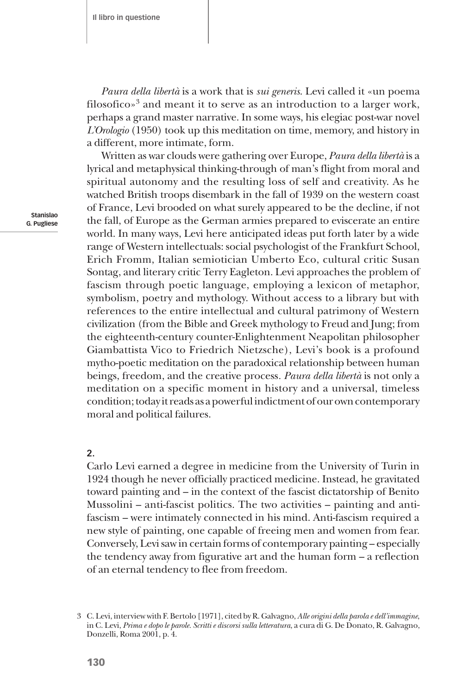*Paura della libertà* is a work that is *sui generis*. Levi called it «un poema filosofico»<sup>3</sup> and meant it to serve as an introduction to a larger work, perhaps a grand master narrative. In some ways, his elegiac post-war novel *L'Orologio* (1950) took up this meditation on time, memory, and history in a different, more intimate, form.

Written as war clouds were gathering over Europe, *Paura della libertà* is a lyrical and metaphysical thinking-through of man's flight from moral and spiritual autonomy and the resulting loss of self and creativity. As he watched British troops disembark in the fall of 1939 on the western coast of France, Levi brooded on what surely appeared to be the decline, if not the fall, of Europe as the German armies prepared to eviscerate an entire world. In many ways, Levi here anticipated ideas put forth later by a wide range of Western intellectuals: social psychologist of the Frankfurt School, Erich Fromm, Italian semiotician Umberto Eco, cultural critic Susan Sontag, and literary critic Terry Eagleton. Levi approaches the problem of fascism through poetic language, employing a lexicon of metaphor, symbolism, poetry and mythology. Without access to a library but with references to the entire intellectual and cultural patrimony of Western civilization (from the Bible and Greek mythology to Freud and Jung; from the eighteenth-century counter-Enlightenment Neapolitan philosopher Giambattista Vico to Friedrich Nietzsche), Levi's book is a profound mytho-poetic meditation on the paradoxical relationship between human beings, freedom, and the creative process*. Paura della libertà* is not only a meditation on a specific moment in history and a universal, timeless condition; today it reads as a powerful indictment of our own contemporary moral and political failures.

#### **2.**

Carlo Levi earned a degree in medicine from the University of Turin in 1924 though he never officially practiced medicine. Instead, he gravitated toward painting and – in the context of the fascist dictatorship of Benito Mussolini – anti-fascist politics. The two activities – painting and antifascism – were intimately connected in his mind. Anti-fascism required a new style of painting, one capable of freeing men and women from fear. Conversely, Levi saw in certain forms of contemporary painting – especially the tendency away from figurative art and the human form – a reflection of an eternal tendency to flee from freedom.

<sup>3</sup> C. Levi, interview with F. Bertolo [1971], cited by R. Galvagno, *Alle origini della parola e dell'immagine*, in C. Levi, *Prima e dopo le parole. Scritti e discorsi sulla letteratura*, a cura di G. De Donato, R. Galvagno, Donzelli, Roma 2001, p. 4.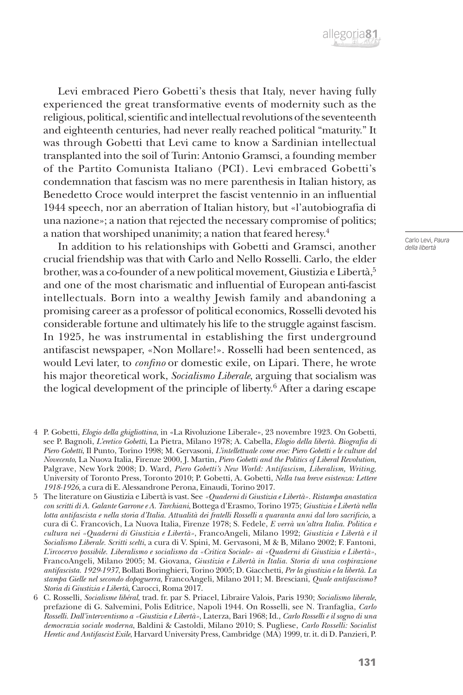Levi embraced Piero Gobetti's thesis that Italy, never having fully experienced the great transformative events of modernity such as the religious, political, scientific and intellectual revolutions of the seventeenth and eighteenth centuries, had never really reached political "maturity." It was through Gobetti that Levi came to know a Sardinian intellectual transplanted into the soil of Turin: Antonio Gramsci, a founding member of the Partito Comunista Italiano (PCI). Levi embraced Gobetti's condemnation that fascism was no mere parenthesis in Italian history, as Benedetto Croce would interpret the fascist ventennio in an influential 1944 speech, nor an aberration of Italian history, but «l'autobiografia di una nazione»; a nation that rejected the necessary compromise of politics; a nation that worshiped unanimity; a nation that feared heresy.4

In addition to his relationships with Gobetti and Gramsci, another crucial friendship was that with Carlo and Nello Rosselli. Carlo, the elder brother, was a co-founder of a new political movement, Giustizia e Libertà,<sup>5</sup> and one of the most charismatic and influential of European anti-fascist intellectuals. Born into a wealthy Jewish family and abandoning a promising career as a professor of political economics, Rosselli devoted his considerable fortune and ultimately his life to the struggle against fascism. In 1925, he was instrumental in establishing the first underground antifascist newspaper, «Non Mollare!». Rosselli had been sentenced, as would Levi later, to *confino* or domestic exile, on Lipari. There, he wrote his major theoretical work, *Socialismo Liberale*, arguing that socialism was the logical development of the principle of liberty.6 After a daring escape

- 4 P. Gobetti, *Elogio della ghigliottina*, in «La Rivoluzione Liberale», 23 novembre 1923. On Gobetti, see P. Bagnoli, *L'eretico Gobetti*, La Pietra, Milano 1978; A. Cabella, *Elogio della libertà. Biografia di Piero Gobetti*, Il Punto, Torino 1998; M. Gervasoni, *L'intellettuale come eroe: Piero Gobetti e le culture del Novecento*, La Nuova Italia, Firenze 2000, J. Martin, *Piero Gobetti and the Politics of Liberal Revolution*, Palgrave, New York 2008; D. Ward, *Piero Gobetti's New World: Antifascism, Liberalism, Writing*, University of Toronto Press, Toronto 2010; P. Gobetti, A. Gobetti, *Nella tua breve esistenza: Lettere 1918-1926*, a cura di E. Alessandrone Perona, Einaudi, Torino 2017.
- 5 The literature on Giustizia e Libertà is vast. See *«Quaderni di Giustizia e Libertà». Ristampa anastatica con scritti di A. Galante Garrone e A. Tarchiani*, Bottega d'Erasmo, Torino 1975; *Giustizia e Libertà nella lotta antifascista e nella storia d'Italia. Attualità dei fratelli Rosselli a quaranta anni dal loro sacrificio*, a cura di C. Francovich, La Nuova Italia, Firenze 1978; S. Fedele, *E verrà un'altra Italia. Politica e cultura nei «Quaderni di Giustizia e Libertà»*, FrancoAngeli, Milano 1992; *Giustizia e Libertà e il Socialismo Liberale. Scritti scelti*, a cura di V. Spini, M. Gervasoni, M & B, Milano 2002; F. Fantoni, *L'ircocervo possibile. Liberalismo e socialismo da «Critica Sociale» ai «Quaderni di Giustizia e Libertà»*, FrancoAngeli, Milano 2005; M. Giovana, *Giustizia e Libertà in Italia. Storia di una cospirazione antifascista. 1929-1937*, Bollati Boringhieri, Torino 2005; D. Giacchetti, *Per la giustizia e la libertà. La stampa Gielle nel secondo dopoguerra*, FrancoAngeli, Milano 2011; M. Bresciani, *Quale antifascismo? Storia di Giustizia e Libertà*, Carocci, Roma 2017.
- 6 C. Rosselli, *Socialisme libéral*, trad. fr. par S. Priacel, Libraire Valois, Paris 1930; *Socialismo liberale*, prefazione di G. Salvemini, Polis Editrice, Napoli 1944. On Rosselli, see N. Tranfaglia, *Carlo Rosselli. Dall'interventismo a «Giustizia e Libertà»*, Laterza, Bari 1968; Id., *Carlo Rosselli e il sogno di una democrazia sociale moderna*, Baldini & Castoldi, Milano 2010; S. Pugliese, *Carlo Rosselli: Socialist Heretic and Antifascist Exile*, Harvard University Press, Cambridge (MA) 1999, tr. it. di D. Panzieri, P.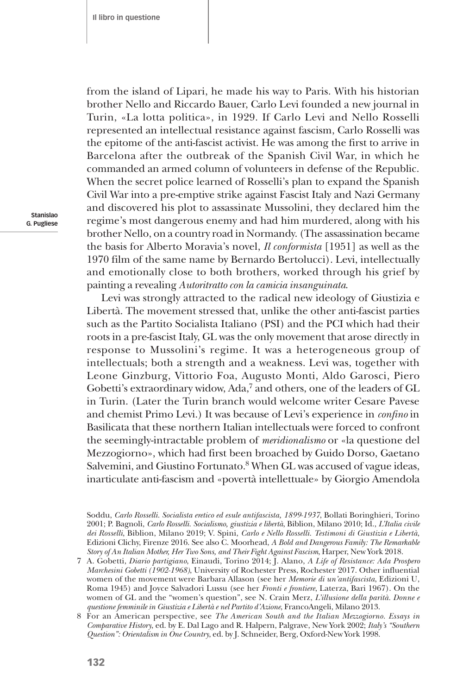from the island of Lipari, he made his way to Paris. With his historian brother Nello and Riccardo Bauer, Carlo Levi founded a new journal in Turin, «La lotta politica», in 1929. If Carlo Levi and Nello Rosselli represented an intellectual resistance against fascism, Carlo Rosselli was the epitome of the anti-fascist activist. He was among the first to arrive in Barcelona after the outbreak of the Spanish Civil War, in which he commanded an armed column of volunteers in defense of the Republic. When the secret police learned of Rosselli's plan to expand the Spanish Civil War into a pre-emptive strike against Fascist Italy and Nazi Germany and discovered his plot to assassinate Mussolini, they declared him the regime's most dangerous enemy and had him murdered, along with his brother Nello, on a country road in Normandy. (The assassination became the basis for Alberto Moravia's novel, *Il conformista* [1951] as well as the 1970 film of the same name by Bernardo Bertolucci). Levi, intellectually and emotionally close to both brothers, worked through his grief by painting a revealing *Autoritratto con la camicia insanguinata*.

Levi was strongly attracted to the radical new ideology of Giustizia e Libertà. The movement stressed that, unlike the other anti-fascist parties such as the Partito Socialista Italiano (PSI) and the PCI which had their roots in a pre-fascist Italy, GL was the only movement that arose directly in response to Mussolini's regime. It was a heterogeneous group of intellectuals; both a strength and a weakness. Levi was, together with Leone Ginzburg, Vittorio Foa, Augusto Monti, Aldo Garosci, Piero Gobetti's extraordinary widow, Ada,<sup>7</sup> and others, one of the leaders of GL in Turin. (Later the Turin branch would welcome writer Cesare Pavese and chemist Primo Levi.) It was because of Levi's experience in *confino* in Basilicata that these northern Italian intellectuals were forced to confront the seemingly-intractable problem of *meridionalismo* or «la questione del Mezzogiorno», which had first been broached by Guido Dorso, Gaetano Salvemini, and Giustino Fortunato.<sup>8</sup> When GL was accused of vague ideas, inarticulate anti-fascism and «povertà intellettuale» by Giorgio Amendola

Soddu, *Carlo Rosselli. Socialista eretico ed esule antifascista, 1899-1937*, Bollati Boringhieri, Torino 2001; P. Bagnoli, *Carlo Rosselli. Socialismo, giustizia e libertà*, Biblion, Milano 2010; Id., *L'Italia civile dei Rosselli*, Biblion, Milano 2019; V. Spini, *Carlo e Nello Rosselli. Testimoni di Giustizia e Libertà*, Edizioni Clichy, Firenze 2016. See also C. Moorhead, *A Bold and Dangerous Family: The Remarkable Story of An Italian Mother, Her Two Sons, and Their Fight Against Fascism*, Harper, New York 2018.

<sup>7</sup> A. Gobetti, *Diario partigiano*, Einaudi, Torino 2014; J. Alano, *A Life of Resistance: Ada Prospero Marchesini Gobetti (1902-1968)*, University of Rochester Press, Rochester 2017. Other influential women of the movement were Barbara Allason (see her *Memorie di un'antifascista*, Edizioni U, Roma 1945) and Joyce Salvadori Lussu (see her *Fronti e frontiere*, Laterza, Bari 1967). On the women of GL and the "women's question", see N. Crain Merz, *L'illusione della parità. Donne e questione femminile in Giustizia e Libertà e nel Partito d'Azione*, FrancoAngeli, Milano 2013.

<sup>8</sup> For an American perspective, see *The American South and the Italian Mezzogiorno. Essays in Comparative History*, ed. by E. Dal Lago and R. Halpern, Palgrave, New York 2002; *Italy's "Southern Question": Orientalism in One Country*, ed. by J. Schneider, Berg, Oxford-New York 1998.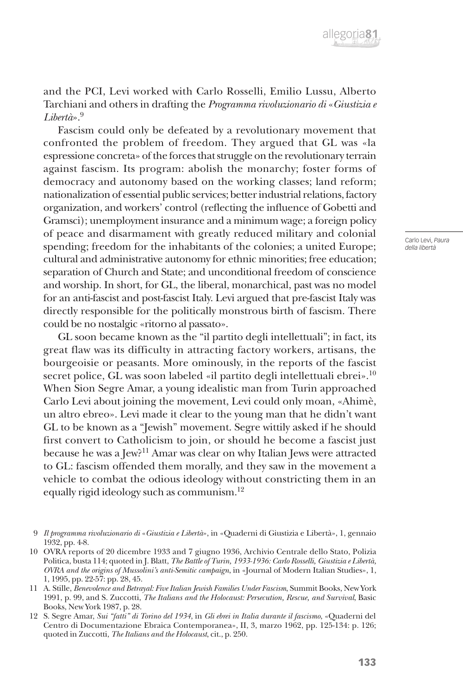

and the PCI, Levi worked with Carlo Rosselli, Emilio Lussu, Alberto Tarchiani and others in drafting the *Programma rivoluzionario di* «*Giustizia e Libertà*».9

Fascism could only be defeated by a revolutionary movement that confronted the problem of freedom. They argued that GL was «la espressione concreta» of the forces that struggle on the revolutionary terrain against fascism. Its program: abolish the monarchy; foster forms of democracy and autonomy based on the working classes; land reform; nationalization of essential public services; better industrial relations, factory organization, and workers' control (reflecting the influence of Gobetti and Gramsci); unemployment insurance and a minimum wage; a foreign policy of peace and disarmament with greatly reduced military and colonial spending; freedom for the inhabitants of the colonies; a united Europe; cultural and administrative autonomy for ethnic minorities; free education; separation of Church and State; and unconditional freedom of conscience and worship. In short, for GL, the liberal, monarchical, past was no model for an anti-fascist and post-fascist Italy. Levi argued that pre-fascist Italy was directly responsible for the politically monstrous birth of fascism. There could be no nostalgic «ritorno al passato».

GL soon became known as the "il partito degli intellettuali"; in fact, its great flaw was its difficulty in attracting factory workers, artisans, the bourgeoisie or peasants. More ominously, in the reports of the fascist secret police, GL was soon labeled «il partito degli intellettuali ebrei».<sup>10</sup> When Sion Segre Amar, a young idealistic man from Turin approached Carlo Levi about joining the movement, Levi could only moan, «Ahimè, un altro ebreo». Levi made it clear to the young man that he didn't want GL to be known as a "Jewish" movement. Segre wittily asked if he should first convert to Catholicism to join, or should he become a fascist just because he was a Jew?11 Amar was clear on why Italian Jews were attracted to GL: fascism offended them morally, and they saw in the movement a vehicle to combat the odious ideology without constricting them in an equally rigid ideology such as communism.12

<sup>9</sup> *Il programma rivoluzionario di* «*Giustizia e Libertà*», in «Quaderni di Giustizia e Libertà», 1, gennaio 1932, pp. 4-8.

<sup>10</sup> OVRA reports of 20 dicembre 1933 and 7 giugno 1936, Archivio Centrale dello Stato, Polizia Politica, busta 114; quoted in J. Blatt, *The Battle of Turin, 1933-1936: Carlo Rosselli, Giustizia e Libertà, OVRA and the origins of Mussolini's anti-Semitic campaign*, in «Journal of Modern Italian Studies», 1, 1, 1995, pp. 22-57: pp. 28, 45.

<sup>11</sup> A. Stille, *Benevolence and Betrayal: Five Italian Jewish Families Under Fascism*, Summit Books, New York 1991, p. 99, and S. Zuccotti, *The Italians and the Holocaust: Persecution, Rescue, and Survival*, Basic Books, New York 1987, p. 28.

<sup>12</sup> S. Segre Amar, *Sui "fatti" di Torino del 1934*, in *Gli ebrei in Italia durante il fascismo*, «Quaderni del Centro di Documentazione Ebraica Contemporanea», II, 3, marzo 1962, pp. 125-134: p. 126; quoted in Zuccotti, *The Italians and the Holocaust*, cit., p. 250.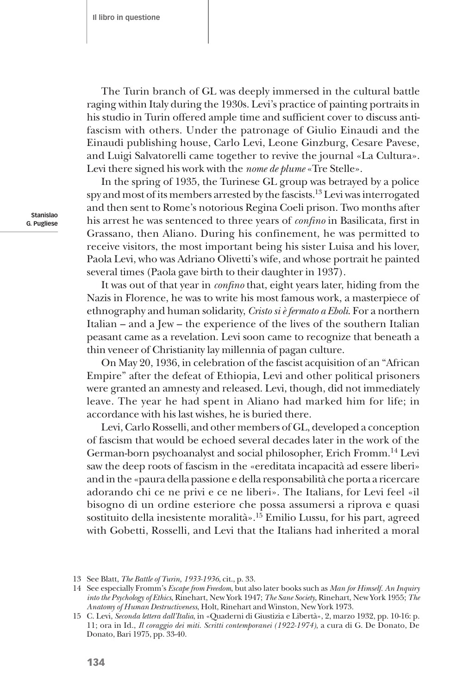The Turin branch of GL was deeply immersed in the cultural battle raging within Italy during the 1930s. Levi's practice of painting portraits in his studio in Turin offered ample time and sufficient cover to discuss antifascism with others. Under the patronage of Giulio Einaudi and the Einaudi publishing house, Carlo Levi, Leone Ginzburg, Cesare Pavese, and Luigi Salvatorelli came together to revive the journal «La Cultura». Levi there signed his work with the *nome de plume* «Tre Stelle».

In the spring of 1935, the Turinese GL group was betrayed by a police spy and most of its members arrested by the fascists.<sup>13</sup> Levi was interrogated and then sent to Rome's notorious Regina Coeli prison. Two months after his arrest he was sentenced to three years of *confino* in Basilicata, first in Grassano, then Aliano. During his confinement, he was permitted to receive visitors, the most important being his sister Luisa and his lover, Paola Levi, who was Adriano Olivetti's wife, and whose portrait he painted several times (Paola gave birth to their daughter in 1937).

It was out of that year in *confino* that, eight years later, hiding from the Nazis in Florence, he was to write his most famous work, a masterpiece of ethnography and human solidarity, *Cristo si è fermato a Eboli*. For a northern Italian – and a Jew – the experience of the lives of the southern Italian peasant came as a revelation. Levi soon came to recognize that beneath a thin veneer of Christianity lay millennia of pagan culture.

On May 20, 1936, in celebration of the fascist acquisition of an "African Empire" after the defeat of Ethiopia, Levi and other political prisoners were granted an amnesty and released. Levi, though, did not immediately leave. The year he had spent in Aliano had marked him for life; in accordance with his last wishes, he is buried there.

Levi, Carlo Rosselli, and other members of GL, developed a conception of fascism that would be echoed several decades later in the work of the German-born psychoanalyst and social philosopher, Erich Fromm.14 Levi saw the deep roots of fascism in the «ereditata incapacità ad essere liberi» and in the «paura della passione e della responsabilità che porta a ricercare adorando chi ce ne privi e ce ne liberi». The Italians, for Levi feel «il bisogno di un ordine esteriore che possa assumersi a riprova e quasi sostituito della inesistente moralità».15 Emilio Lussu, for his part, agreed with Gobetti, Rosselli, and Levi that the Italians had inherited a moral

<sup>13</sup> See Blatt, *The Battle of Turin, 1933-1936*, cit., p. 33.

<sup>14</sup> See especially Fromm's *Escape from Freedom*, but also later books such as *Man for Himself. An Inquiry into the Psychology of Ethics*, Rinehart, New York 1947; *The Sane Society*, Rinehart, New York 1955; *The Anatomy of Human Destructiveness*, Holt, Rinehart and Winston, New York 1973.

<sup>15</sup> C. Levi, *Seconda lettera dall'Italia*, in «Quaderni di Giustizia e Libertà», 2, marzo 1932, pp. 10-16: p. 11; ora in Id., *Il coraggio dei miti. Scritti contemporanei (1922-1974)*, a cura di G. De Donato, De Donato, Bari 1975, pp. 33-40.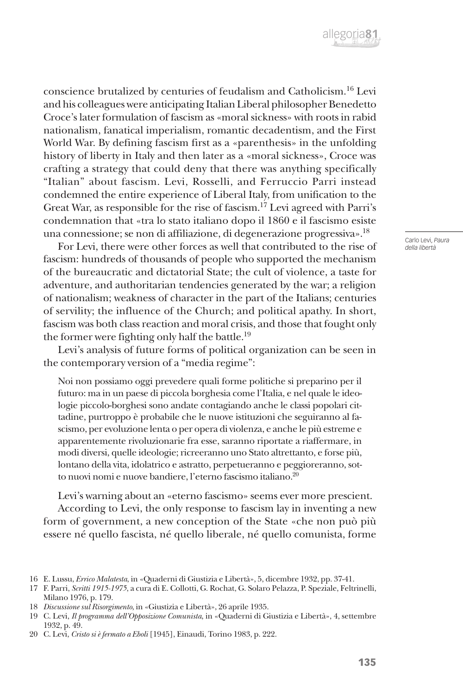

conscience brutalized by centuries of feudalism and Catholicism.16 Levi and his colleagues were anticipating Italian Liberal philosopher Benedetto Croce's later formulation of fascism as «moral sickness» with roots in rabid nationalism, fanatical imperialism, romantic decadentism, and the First World War. By defining fascism first as a «parenthesis» in the unfolding history of liberty in Italy and then later as a «moral sickness», Croce was crafting a strategy that could deny that there was anything specifically "Italian" about fascism. Levi, Rosselli, and Ferruccio Parri instead condemned the entire experience of Liberal Italy, from unification to the Great War, as responsible for the rise of fascism.17 Levi agreed with Parri's condemnation that «tra lo stato italiano dopo il 1860 e il fascismo esiste una connessione; se non di affiliazione, di degenerazione progressiva».18

For Levi, there were other forces as well that contributed to the rise of fascism: hundreds of thousands of people who supported the mechanism of the bureaucratic and dictatorial State; the cult of violence, a taste for adventure, and authoritarian tendencies generated by the war; a religion of nationalism; weakness of character in the part of the Italians; centuries of servility; the influence of the Church; and political apathy. In short, fascism was both class reaction and moral crisis, and those that fought only the former were fighting only half the battle.<sup>19</sup>

Levi's analysis of future forms of political organization can be seen in the contemporary version of a "media regime":

Noi non possiamo oggi prevedere quali forme politiche si preparino per il futuro: ma in un paese di piccola borghesia come l'Italia, e nel quale le ideologie piccolo-borghesi sono andate contagiando anche le classi popolari cittadine, purtroppo è probabile che le nuove istituzioni che seguiranno al fascismo, per evoluzione lenta o per opera di violenza, e anche le più estreme e apparentemente rivoluzionarie fra esse, saranno riportate a riaffermare, in modi diversi, quelle ideologie; ricreeranno uno Stato altrettanto, e forse più, lontano della vita, idolatrico e astratto, perpetueranno e peggioreranno, sotto nuovi nomi e nuove bandiere, l'eterno fascismo italiano.20

Levi's warning about an «eterno fascismo» seems ever more prescient. According to Levi, the only response to fascism lay in inventing a new form of government, a new conception of the State «che non può più essere né quello fascista, né quello liberale, né quello comunista, forme

<sup>16</sup> E. Lussu, *Errico Malatesta*, in «Quaderni di Giustizia e Libertà», 5, dicembre 1932, pp. 37-41.

<sup>17</sup> F. Parri, *Scritti 1915-1975*, a cura di E. Collotti, G. Rochat, G. Solaro Pelazza, P. Speziale, Feltrinelli, Milano 1976, p. 179.

<sup>18</sup> *Discussione sul Risorgimento*, in «Giustizia e Libertà», 26 aprile 1935.

<sup>19</sup> C. Levi, *Il programma dell'Opposizione Comunista*, in «Quaderni di Giustizia e Libertà», 4, settembre 1932, p. 49.

<sup>20</sup> C. Levi, *Cristo si è fermato a Eboli* [1945], Einaudi, Torino 1983, p. 222.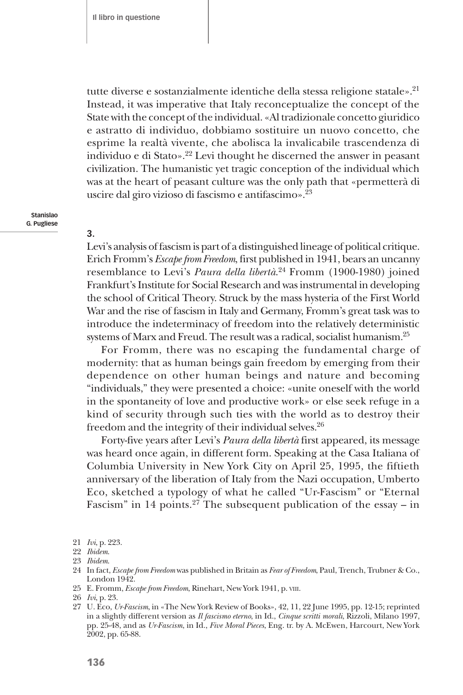tutte diverse e sostanzialmente identiche della stessa religione statale».<sup>21</sup> Instead, it was imperative that Italy reconceptualize the concept of the State with the concept of the individual. «Al tradizionale concetto giuridico e astratto di individuo, dobbiamo sostituire un nuovo concetto, che esprime la realtà vivente, che abolisca la invalicabile trascendenza di individuo e di Stato».22 Levi thought he discerned the answer in peasant civilization. The humanistic yet tragic conception of the individual which was at the heart of peasant culture was the only path that «permetterà di uscire dal giro vizioso di fascismo e antifascimo».23

**Stanislao G. Pugliese**

**3.**

Levi's analysis of fascism is part of a distinguished lineage of political critique. Erich Fromm's *Escape from Freedom*, first published in 1941, bears an uncanny resemblance to Levi's *Paura della libertà*. 24 Fromm (1900-1980) joined Frankfurt's Institute for Social Research and was instrumental in developing the school of Critical Theory. Struck by the mass hysteria of the First World War and the rise of fascism in Italy and Germany, Fromm's great task was to introduce the indeterminacy of freedom into the relatively deterministic systems of Marx and Freud. The result was a radical, socialist humanism.<sup>25</sup>

For Fromm, there was no escaping the fundamental charge of modernity: that as human beings gain freedom by emerging from their dependence on other human beings and nature and becoming "individuals," they were presented a choice: «unite oneself with the world in the spontaneity of love and productive work» or else seek refuge in a kind of security through such ties with the world as to destroy their freedom and the integrity of their individual selves.<sup>26</sup>

Forty-five years after Levi's *Paura della libertà* first appeared, its message was heard once again, in different form. Speaking at the Casa Italiana of Columbia University in New York City on April 25, 1995, the fiftieth anniversary of the liberation of Italy from the Nazi occupation, Umberto Eco, sketched a typology of what he called "Ur-Fascism" or "Eternal Fascism" in 14 points.<sup>27</sup> The subsequent publication of the essay – in

25 E. Fromm, *Escape from Freedom*, Rinehart, New York 1941, p. viii.

<sup>21</sup> *Ivi*, p. 223.

<sup>22</sup> *Ibidem*.

<sup>23</sup> *Ibidem*.

<sup>24</sup> In fact, *Escape from Freedom* was published in Britain as *Fear of Freedom*, Paul, Trench, Trubner & Co., London 1942.

<sup>26</sup> *Ivi*, p. 23.

<sup>27</sup> U. Eco, *Ur-Fascism*, in «The New York Review of Books», 42, 11, 22 June 1995, pp. 12-15; reprinted in a slightly different version as *Il fascismo eterno*, in Id., *Cinque scritti morali*, Rizzoli, Milano 1997, pp. 25-48, and as *Ur-Fascism*, in Id., *Five Moral Pieces*, Eng. tr. by A. McEwen, Harcourt, New York 2002, pp. 65-88.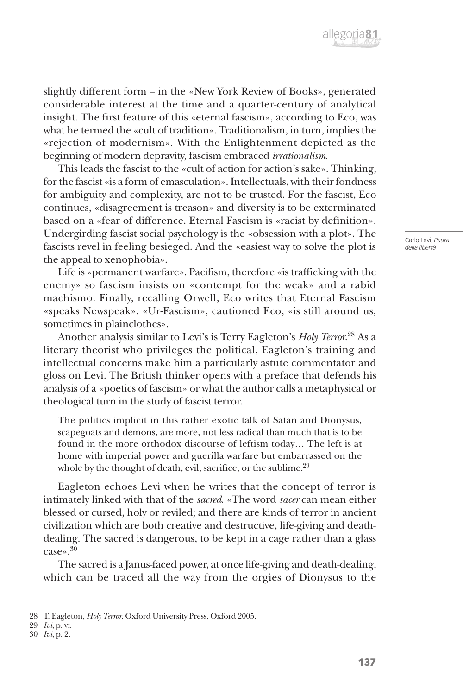slightly different form – in the «New York Review of Books», generated considerable interest at the time and a quarter-century of analytical insight. The first feature of this «eternal fascism», according to Eco, was what he termed the «cult of tradition». Traditionalism, in turn, implies the «rejection of modernism». With the Enlightenment depicted as the beginning of modern depravity, fascism embraced *irrationalism*.

This leads the fascist to the «cult of action for action's sake». Thinking, for the fascist «is a form of emasculation». Intellectuals, with their fondness for ambiguity and complexity, are not to be trusted. For the fascist, Eco continues, «disagreement is treason» and diversity is to be exterminated based on a «fear of difference. Eternal Fascism is «racist by definition». Undergirding fascist social psychology is the «obsession with a plot». The fascists revel in feeling besieged. And the «easiest way to solve the plot is the appeal to xenophobia».

Life is «permanent warfare». Pacifism, therefore «is trafficking with the enemy» so fascism insists on «contempt for the weak» and a rabid machismo. Finally, recalling Orwell, Eco writes that Eternal Fascism «speaks Newspeak». «Ur-Fascism», cautioned Eco, «is still around us, sometimes in plainclothes».

Another analysis similar to Levi's is Terry Eagleton's *Holy Terror*. 28 As a literary theorist who privileges the political, Eagleton's training and intellectual concerns make him a particularly astute commentator and gloss on Levi. The British thinker opens with a preface that defends his analysis of a «poetics of fascism» or what the author calls a metaphysical or theological turn in the study of fascist terror.

The politics implicit in this rather exotic talk of Satan and Dionysus, scapegoats and demons, are more, not less radical than much that is to be found in the more orthodox discourse of leftism today… The left is at home with imperial power and guerilla warfare but embarrassed on the whole by the thought of death, evil, sacrifice, or the sublime.<sup>29</sup>

Eagleton echoes Levi when he writes that the concept of terror is intimately linked with that of the *sacred*. «The word *sacer* can mean either blessed or cursed, holy or reviled; and there are kinds of terror in ancient civilization which are both creative and destructive, life-giving and deathdealing. The sacred is dangerous, to be kept in a cage rather than a glass case».30

The sacred is a Janus-faced power, at once life-giving and death-dealing, which can be traced all the way from the orgies of Dionysus to the

<sup>28</sup> T. Eagleton, *Holy Terror*, Oxford University Press, Oxford 2005.

<sup>29</sup> *Ivi*, p. vi.

<sup>30</sup> *Ivi*, p. 2.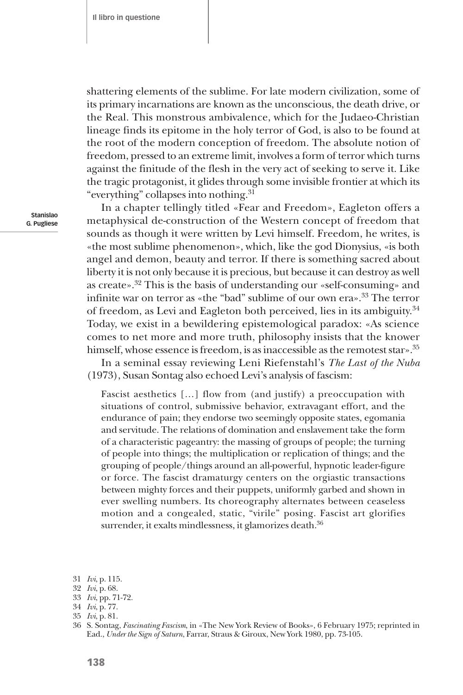shattering elements of the sublime. For late modern civilization, some of its primary incarnations are known as the unconscious, the death drive, or the Real. This monstrous ambivalence, which for the Judaeo-Christian lineage finds its epitome in the holy terror of God, is also to be found at the root of the modern conception of freedom. The absolute notion of freedom, pressed to an extreme limit, involves a form of terror which turns against the finitude of the flesh in the very act of seeking to serve it. Like the tragic protagonist, it glides through some invisible frontier at which its "everything" collapses into nothing.31

In a chapter tellingly titled «Fear and Freedom», Eagleton offers a metaphysical de-construction of the Western concept of freedom that sounds as though it were written by Levi himself. Freedom, he writes, is «the most sublime phenomenon», which, like the god Dionysius, «is both angel and demon, beauty and terror. If there is something sacred about liberty it is not only because it is precious, but because it can destroy as well as create».32 This is the basis of understanding our «self-consuming» and infinite war on terror as «the "bad" sublime of our own era».33 The terror of freedom, as Levi and Eagleton both perceived, lies in its ambiguity.34 Today, we exist in a bewildering epistemological paradox: «As science comes to net more and more truth, philosophy insists that the knower himself, whose essence is freedom, is as inaccessible as the remotest star».<sup>35</sup>

In a seminal essay reviewing Leni Riefenstahl's *The Last of the Nuba*  (1973), Susan Sontag also echoed Levi's analysis of fascism:

Fascist aesthetics […] flow from (and justify) a preoccupation with situations of control, submissive behavior, extravagant effort, and the endurance of pain; they endorse two seemingly opposite states, egomania and servitude. The relations of domination and enslavement take the form of a characteristic pageantry: the massing of groups of people; the turning of people into things; the multiplication or replication of things; and the grouping of people/things around an all-powerful, hypnotic leader-figure or force. The fascist dramaturgy centers on the orgiastic transactions between mighty forces and their puppets, uniformly garbed and shown in ever swelling numbers. Its choreography alternates between ceaseless motion and a congealed, static, "virile" posing. Fascist art glorifies surrender, it exalts mindlessness, it glamorizes death.<sup>36</sup>

<sup>31</sup> *Ivi*, p. 115.

<sup>32</sup> *Ivi*, p. 68.

<sup>33</sup> *Ivi*, pp. 71-72.

<sup>34</sup> *Ivi*, p. 77.

<sup>35</sup> *Ivi*, p. 81.

<sup>36</sup> S. Sontag, *Fascinating Fascism*, in «The New York Review of Books», 6 February 1975; reprinted in Ead., *Under the Sign of Saturn*, Farrar, Straus & Giroux, New York 1980, pp. 73-105.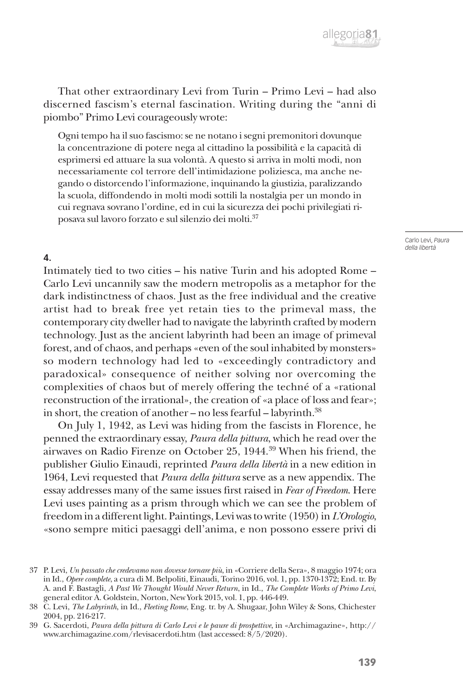

That other extraordinary Levi from Turin – Primo Levi – had also discerned fascism's eternal fascination. Writing during the "anni di piombo" Primo Levi courageously wrote:

Ogni tempo ha il suo fascismo: se ne notano i segni premonitori dovunque la concentrazione di potere nega al cittadino la possibilità e la capacità di esprimersi ed attuare la sua volontà. A questo si arriva in molti modi, non necessariamente col terrore dell'intimidazione poliziesca, ma anche negando o distorcendo l'informazione, inquinando la giustizia, paralizzando la scuola, diffondendo in molti modi sottili la nostalgia per un mondo in cui regnava sovrano l'ordine, ed in cui la sicurezza dei pochi privilegiati riposava sul lavoro forzato e sul silenzio dei molti.37

> Carlo Levi, *Paura della libertà*

### **4.**

Intimately tied to two cities – his native Turin and his adopted Rome – Carlo Levi uncannily saw the modern metropolis as a metaphor for the dark indistinctness of chaos. Just as the free individual and the creative artist had to break free yet retain ties to the primeval mass, the contemporary city dweller had to navigate the labyrinth crafted by modern technology. Just as the ancient labyrinth had been an image of primeval forest, and of chaos, and perhaps «even of the soul inhabited by monsters» so modern technology had led to «exceedingly contradictory and paradoxical» consequence of neither solving nor overcoming the complexities of chaos but of merely offering the techné of a «rational reconstruction of the irrational», the creation of «a place of loss and fear»; in short, the creation of another – no less fearful – labyrinth. $^{38}$ 

On July 1, 1942, as Levi was hiding from the fascists in Florence, he penned the extraordinary essay, *Paura della pittura*, which he read over the airwaves on Radio Firenze on October 25, 1944.39 When his friend, the publisher Giulio Einaudi, reprinted *Paura della libertà* in a new edition in 1964, Levi requested that *Paura della pittura* serve as a new appendix. The essay addresses many of the same issues first raised in *Fear of Freedom*. Here Levi uses painting as a prism through which we can see the problem of freedom in a different light. Paintings, Levi was to write (1950) in *L'Orologio*, «sono sempre mitici paesaggi dell'anima, e non possono essere privi di

<sup>37</sup> P. Levi, *Un passato che credevamo non dovesse tornare più*, in «Corriere della Sera», 8 maggio 1974; ora in Id., *Opere complete*, a cura di M. Belpoliti, Einaudi, Torino 2016, vol. 1, pp. 1370-1372; End. tr. By A. and F. Bastagli, *A Past We Thought Would Never Return*, in Id., *The Complete Works of Primo Levi*, general editor A. Goldstein, Norton, New York 2015, vol. 1, pp. 446-449.

<sup>38</sup> C. Levi, *The Labyrinth*, in Id., *Fleeting Rome*, Eng. tr. by A. Shugaar, John Wiley & Sons, Chichester 2004, pp. 216-217.

<sup>39</sup> G. Sacerdoti, *Paura della pittura di Carlo Levi e le paure di prospettive*, in «Archimagazine», http:// www.archimagazine.com/rlevisacerdoti.htm (last accessed: 8/5/2020).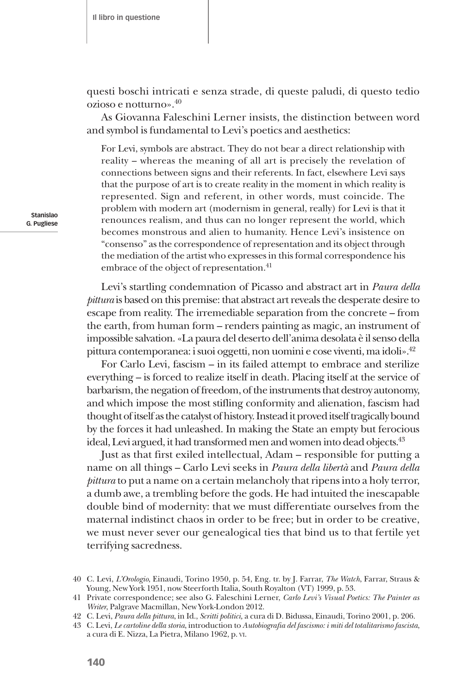questi boschi intricati e senza strade, di queste paludi, di questo tedio ozioso e notturno».40

As Giovanna Faleschini Lerner insists, the distinction between word and symbol is fundamental to Levi's poetics and aesthetics:

For Levi, symbols are abstract. They do not bear a direct relationship with reality – whereas the meaning of all art is precisely the revelation of connections between signs and their referents. In fact, elsewhere Levi says that the purpose of art is to create reality in the moment in which reality is represented. Sign and referent, in other words, must coincide. The problem with modern art (modernism in general, really) for Levi is that it renounces realism, and thus can no longer represent the world, which becomes monstrous and alien to humanity. Hence Levi's insistence on "consenso" as the correspondence of representation and its object through the mediation of the artist who expresses in this formal correspondence his embrace of the object of representation.<sup>41</sup>

Levi's startling condemnation of Picasso and abstract art in *Paura della pittura* is based on this premise: that abstract art reveals the desperate desire to escape from reality. The irremediable separation from the concrete – from the earth, from human form – renders painting as magic, an instrument of impossible salvation. «La paura del deserto dell'anima desolata è il senso della pittura contemporanea: i suoi oggetti, non uomini e cose viventi, ma idoli».42

For Carlo Levi, fascism – in its failed attempt to embrace and sterilize everything – is forced to realize itself in death. Placing itself at the service of barbarism, the negation of freedom, of the instruments that destroy autonomy, and which impose the most stifling conformity and alienation, fascism had thought of itself as the catalyst of history. Instead it proved itself tragically bound by the forces it had unleashed. In making the State an empty but ferocious ideal, Levi argued, it had transformed men and women into dead objects.<sup>43</sup>

Just as that first exiled intellectual, Adam – responsible for putting a name on all things – Carlo Levi seeks in *Paura della libertà* and *Paura della pittura* to put a name on a certain melancholy that ripens into a holy terror, a dumb awe, a trembling before the gods. He had intuited the inescapable double bind of modernity: that we must differentiate ourselves from the maternal indistinct chaos in order to be free; but in order to be creative, we must never sever our genealogical ties that bind us to that fertile yet terrifying sacredness.

43 C. Levi, *Le cartoline della storia*, introduction to *Autobiografia del fascismo: i miti del totalitarismo fascista*, a cura di E. Nizza, La Pietra, Milano 1962, p. vi.

<sup>40</sup> C. Levi, *L'Orologio*, Einaudi, Torino 1950, p. 54, Eng. tr. by J. Farrar, *The Watch*, Farrar, Straus & Young, New York 1951, now Steerforth Italia, South Royalton (VT) 1999, p. 53.

<sup>41</sup> Private correspondence; see also G. Faleschini Lerner, *Carlo Levi's Visual Poetics: The Painter as Writer*, Palgrave Macmillan, New York-London 2012.

<sup>42</sup> C. Levi, *Paura della pittura*, in Id., *Scritti politici,* a cura di D. Bidussa, Einaudi, Torino 2001, p. 206.